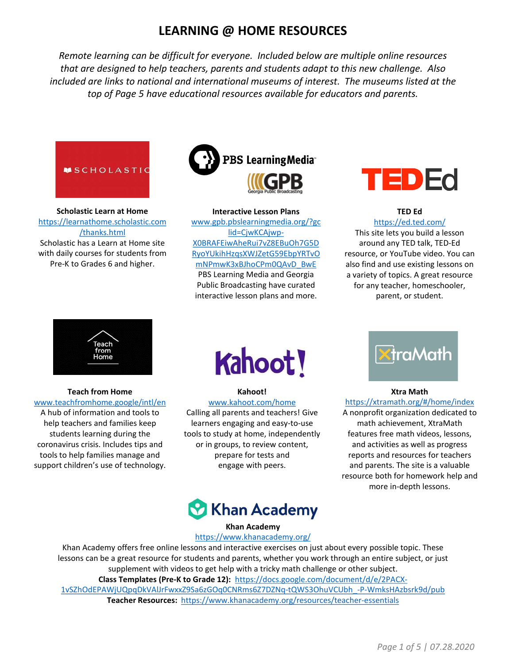# **LEARNING @ HOME RESOURCES**

*Remote learning can be difficult for everyone. Included below are multiple online resources that are designed to help teachers, parents and students adapt to this new challenge. Also included are links to national and international museums of interest. The museums listed at the top of Page 5 have educational resources available for educators and parents.*



**Scholastic Learn at Home** [https://learnathome.scholastic.com](https://learnathome.scholastic.com/thanks.html) /thanks.html Scholastic has a Learn at Home site with daily courses for students from Pre-K to Grades 6 and higher.



#### **Interactive Lesson Plans**

www.gpb.pbslearningmedia.org/?gc lid=CjwKCAjwp-X0BRAFEiwAheRui7vZ8EBuOh7G5D [RyoYUkihHzqsXWJZetG59EbpYRTvO](http://www.gpb.pbslearningmedia.org/?gclid=CjwKCAjwp-X0BRAFEiwAheRui7vZ8EBuOh7G5DRyoYUkihHzqsXWJZetG59EbpYRTvOmNPmwK3xBJhoCPm0QAvD_BwE) mNPmwK3xBJhoCPm0QAvD\_BwE PBS Learning Media and Georgia Public Broadcasting have curated interactive lesson plans and more.



#### **TED Ed** <https://ed.ted.com/>

This site lets you build a lesson around any TED talk, TED-Ed resource, or YouTube video. You can also find and use existing lessons on a variety of topics. A great resource for any teacher, homeschooler, parent, or student.



**Teach from Home** [www.teachfromhome.google/intl/en](http://www.teachfromhome.google/intl/en)

A hub of information and tools to help teachers and families keep students learning during the coronavirus crisis. Includes tips and tools to help families manage and support children's use of technology.



**Kahoot!** [www.kahoot.com/home](http://www.kahoot.com/home)

Calling all parents and teachers! Give learners engaging and easy-to-use tools to study at home, independently or in groups, to review content, prepare for tests and engage with peers.



#### **Xtra Math**

<https://xtramath.org/#/home/index>

A nonprofit organization dedicated to math achievement, XtraMath features free math videos, lessons, and activities as well as progress reports and resources for teachers and parents. The site is a valuable resource both for homework help and more in-depth lessons.



#### **Khan Academy**

#### <https://www.khanacademy.org/>

Khan Academy offers free online lessons and interactive exercises on just about every possible topic. These lessons can be a great resource for students and parents, whether you work through an entire subject, or just supplement with videos to get help with a tricky math challenge or other subject. **Class Templates (Pre-K to Grade 12):** https://docs.google.com/document/d/e/2PACX-[1vSZhOdEPAWjUQpqDkVAlJrFwxxZ9Sa6zGOq0CNRms6Z7DZNq-tQWS3OhuVCUbh\\_-P-WmksHAzbsrk9d/pub](https://docs.google.com/document/d/e/2PACX-1vSZhOdEPAWjUQpqDkVAlJrFwxxZ9Sa6zGOq0CNRms6Z7DZNq-tQWS3OhuVCUbh_-P-WmksHAzbsrk9d/pub) **Teacher Resources:** <https://www.khanacademy.org/resources/teacher-essentials>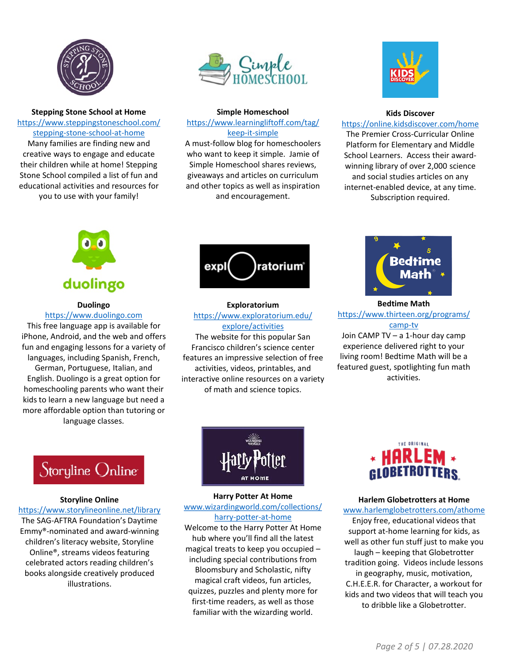

**Stepping Stone School at Home** [https://www.steppingstoneschool.com/](http://www.steppingstoneschool.com/stepping-stone-school-at-home) [stepping-stone-school-at-home](http://www.steppingstoneschool.com/stepping-stone-school-at-home) Many families are finding new and creative ways to engage and educate their children while at home! Stepping Stone School compiled a list of fun and educational activities and resources for you to use with your family!



#### **Simple Homeschool**

[https://www.learningliftoff.com/tag/](https://www.learningliftoff.com/tag/keep-it-simple) [keep-it-simple](https://www.learningliftoff.com/tag/keep-it-simple)

A must-follow blog for homeschoolers who want to keep it simple. Jamie of Simple Homeschool shares reviews, giveaways and articles on curriculum and other topics as well as inspiration and encouragement.



#### **Kids Discover**

#### <https://online.kidsdiscover.com/home>

The Premier Cross-Curricular Online Platform for Elementary and Middle School Learners. Access their awardwinning library of over 2,000 science and social studies articles on any internet-enabled device, at any time. Subscription required.



### **Duolingo**

[https://www.duolingo.com](http://www.duolingo.com/) This free language app is available for iPhone, Android, and the web and offers fun and engaging lessons for a variety of languages, including Spanish, French, German, Portuguese, Italian, and English. Duolingo is a great option for homeschooling parents who want their kids to learn a new language but need a more affordable option than tutoring or language classes.



#### **Exploratorium** [https://www.exploratorium.edu/](https://www.exploratorium.edu/explore/activities) [explore/activities](https://www.exploratorium.edu/explore/activities)

The website for this popular San Francisco children's science center features an impressive selection of free activities, videos, printables, and interactive online resources on a variety of math and science topics.



**Bedtime Math** [https://www.thirteen.org/programs/](https://www.thirteen.org/programs/camp-tv)

[camp-tv](https://www.thirteen.org/programs/camp-tv) Join CAMP TV – a 1-hour day camp experience delivered right to your living room! Bedtime Math will be a featured guest, spotlighting fun math activities.

# Storyline Online

#### **Storyline Online**

<https://www.storylineonline.net/library> The SAG-AFTRA Foundation's Daytime Emmy®-nominated and award-winning children's literacy website, Storyline Online®, streams videos featuring celebrated actors reading children's books alongside creatively produced illustrations.



#### **Harry Potter At Home** [www.wizardingworld.com/collections/](http://www.wizardingworld.com/collections/harry-potter-at-home) [harry-potter-at-home](http://www.wizardingworld.com/collections/harry-potter-at-home)

Welcome to the Harry Potter At Home hub where you'll find all the latest magical treats to keep you occupied – including special contributions from Bloomsbury and Scholastic, nifty magical craft videos, fun articles, quizzes, puzzles and plenty more for first-time readers, as well as those familiar with the wizarding world.



#### **Harlem Globetrotters at Home** [www.harlemglobetrotters.com/athome](http://www.harlemglobetrotters.com/athome)

Enjoy free, educational videos that support at-home learning for kids, as well as other fun stuff just to make you laugh – keeping that Globetrotter tradition going. Videos include lessons in geography, music, motivation, C.H.E.E.R. for Character, a workout for kids and two videos that will teach you to dribble like a Globetrotter.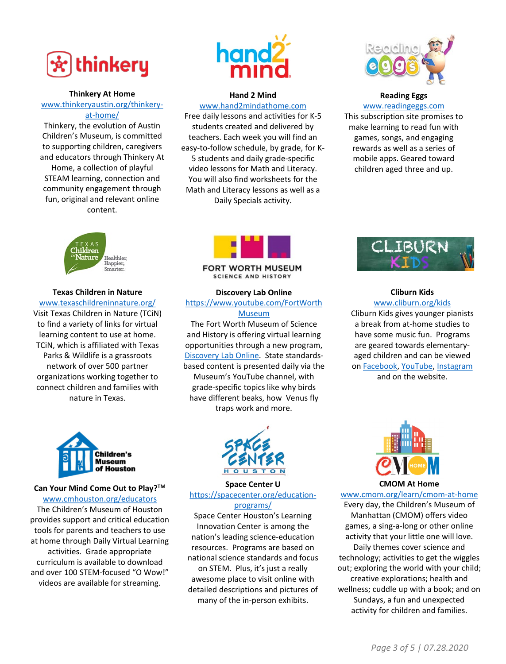

#### **Thinkery At Home**

[www.thinkeryaustin.org/thinkery](http://www.thinkeryaustin.org/thinkery-at-home/)at-home/

Thinkery, the evolution of Austin Children's Museum, is committed to supporting children, caregivers and educators through Thinkery At Home, a collection of playful STEAM learning, connection and community engagement through fun, original and relevant online content.



#### **Hand 2 Mind**

[www.hand2mindathome.com](http://www.hand2mindathome.com/) Free daily lessons and activities for K-5 students created and delivered by teachers. Each week you will find an easy-to-follow schedule, by grade, for K-5 students and daily grade-specific video lessons for Math and Literacy. You will also find worksheets for the Math and Literacy lessons as well as a Daily Specials activity.



## **Reading Eggs**

[www.readingeggs.com](http://www.readingeggs.com/) This subscription site promises to make learning to read fun with games, songs, and engaging rewards as well as a series of mobile apps. Geared toward children aged three and up.



**Texas Children in Nature** [www.texaschildreninnature.org/](http://www.texaschildreninnature.org/) Visit Texas Children in Nature (TCiN) to find a variety of links for virtual learning content to use at home. TCiN, which is affiliated with Texas Parks & Wildlife is a grassroots network of over 500 partner organizations working together to connect children and families with nature in Texas.



**FORT WORTH MUSEUM SCIENCE AND HISTORY** 

#### **Discovery Lab Online**

[https://www.youtube.com/FortWorth](https://www.youtube.com/FortWorthMuseum) Museum

The Fort Worth Museum of Science and History is offering virtual learning opportunities through a new program, [Discovery Lab Online.](https://www.youtube.com/playlist?list=PLPOSfeFaaGgDODHmB0ontRe-wJDnJsmjv) State standardsbased content is presented daily via the Museum's YouTube channel, with grade-specific topics like why birds have different beaks, how Venus fly traps work and more.



## **Can Your Mind Come Out to Play?TM**

[www.cmhouston.org/educators](http://www.cmhouston.org/educators) The Children's Museum of Houston provides support and critical education tools for parents and teachers to use at home through Daily Virtual Learning activities. Grade appropriate curriculum is available to download and over 100 STEM-focused "O Wow!" videos are available for streaming.



**Space Center U** [https://spacecenter.org/education](https://spacecenter.org/education-programs/)programs/

Space Center Houston's Learning Innovation Center is among the nation's leading science-education resources. Programs are based on national science standards and focus on STEM. Plus, it's just a really awesome place to visit online with detailed descriptions and pictures of many of the in-person exhibits.



#### **Cliburn Kids** [www.cliburn.org/kids](http://www.cliburn.org/kids)

Cliburn Kids gives younger pianists a break from at-home studies to have some music fun. Programs are geared towards elementaryaged children and can be viewed on [Facebook](https://www.facebook.com/thecliburn/), [YouTube,](https://www.youtube.com/thecliburn) [Instagram](https://www.instagram.com/thecliburn/) and on the website.



**CMOM At Home**

[www.cmom.org/learn/cmom-at-home](http://www.cmom.org/learn/cmom-at-home) Every day, the Children's Museum of Manhattan (CMOM) offers video games, a sing-a-long or other online activity that your little one will love. Daily themes cover science and technology; activities to get the wiggles out; exploring the world with your child; creative explorations; health and wellness; cuddle up with a book; and on Sundays, a fun and unexpected activity for children and families.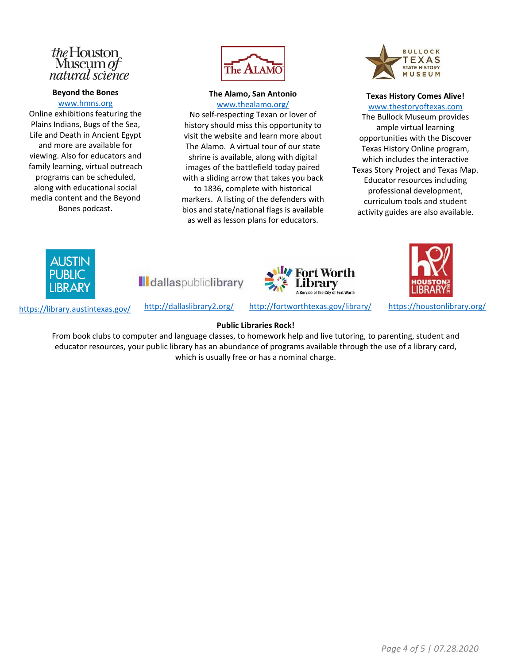# the Houston<br>Museum of natural science

#### **Beyond the Bones**

[www.hmns.org](http://www.hmns.org/) Online exhibitions featuring the Plains Indians, Bugs of the Sea, Life and Death in Ancient Egypt and more are available for viewing. Also for educators and family learning, virtual outreach programs can be scheduled, along with educational social media content and the Beyond Bones podcast.



**The Alamo, San Antonio**

[www.thealamo.org/](http://www.thealamo.org/)

No self-respecting Texan or lover of history should miss this opportunity to visit the website and learn more about The Alamo. A virtual tour of our state shrine is available, along with digital images of the battlefield today paired with a sliding arrow that takes you back to 1836, complete with historical markers. A listing of the defenders with bios and state/national flags is available as well as lesson plans for educators.



**Texas History Comes Alive!** [www.thestoryoftexas.com](http://www.thestoryoftexas.com/) The Bullock Museum provides ample virtual learning opportunities with the Discover Texas History Online program, which includes the interactive Texas Story Project and Texas Map. Educator resources including professional development, curriculum tools and student activity guides are also available.



**I**dallaspubliclibrary



https://library.austintexas.gov/ http://dallaslibrary2.org/ http://fortworthtexas.gov/library/ <https://houstonlibrary.org/>

#### **Public Libraries Rock!**

From book clubs to computer and language classes, to homework help and live tutoring, to parenting, student and educator resources, your public library has an abundance of programs available through the use of a library card, which is usually free or has a nominal charge.